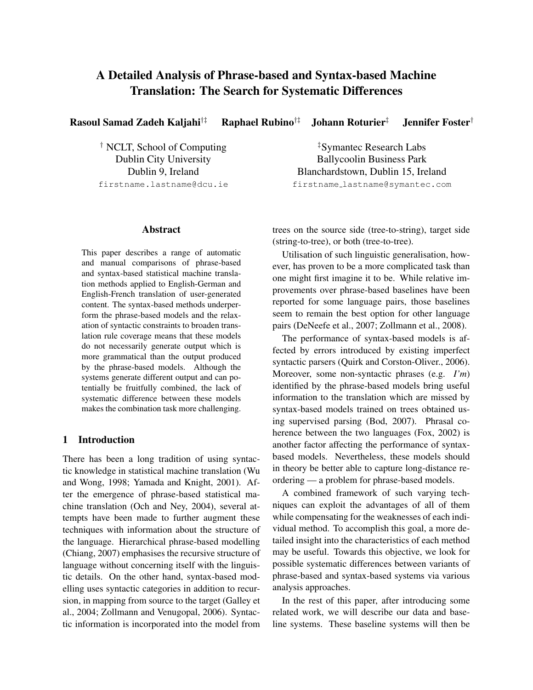# A Detailed Analysis of Phrase-based and Syntax-based Machine Translation: The Search for Systematic Differences

Rasoul Samad Zadeh Kaljahi†‡ Raphael Rubino<sup>†‡</sup> Johann Roturier<sup>‡</sup> Jennifer Foster<sup>†</sup>

† NCLT, School of Computing Dublin City University Dublin 9, Ireland firstname.lastname@dcu.ie

‡Symantec Research Labs Ballycoolin Business Park Blanchardstown, Dublin 15, Ireland firstname lastname@symantec.com

# Abstract

This paper describes a range of automatic and manual comparisons of phrase-based and syntax-based statistical machine translation methods applied to English-German and English-French translation of user-generated content. The syntax-based methods underperform the phrase-based models and the relaxation of syntactic constraints to broaden translation rule coverage means that these models do not necessarily generate output which is more grammatical than the output produced by the phrase-based models. Although the systems generate different output and can potentially be fruitfully combined, the lack of systematic difference between these models makes the combination task more challenging.

#### 1 Introduction

There has been a long tradition of using syntactic knowledge in statistical machine translation (Wu and Wong, 1998; Yamada and Knight, 2001). After the emergence of phrase-based statistical machine translation (Och and Ney, 2004), several attempts have been made to further augment these techniques with information about the structure of the language. Hierarchical phrase-based modelling (Chiang, 2007) emphasises the recursive structure of language without concerning itself with the linguistic details. On the other hand, syntax-based modelling uses syntactic categories in addition to recursion, in mapping from source to the target (Galley et al., 2004; Zollmann and Venugopal, 2006). Syntactic information is incorporated into the model from trees on the source side (tree-to-string), target side (string-to-tree), or both (tree-to-tree).

Utilisation of such linguistic generalisation, however, has proven to be a more complicated task than one might first imagine it to be. While relative improvements over phrase-based baselines have been reported for some language pairs, those baselines seem to remain the best option for other language pairs (DeNeefe et al., 2007; Zollmann et al., 2008).

The performance of syntax-based models is affected by errors introduced by existing imperfect syntactic parsers (Quirk and Corston-Oliver., 2006). Moreover, some non-syntactic phrases (e.g. *I'm*) identified by the phrase-based models bring useful information to the translation which are missed by syntax-based models trained on trees obtained using supervised parsing (Bod, 2007). Phrasal coherence between the two languages (Fox, 2002) is another factor affecting the performance of syntaxbased models. Nevertheless, these models should in theory be better able to capture long-distance reordering — a problem for phrase-based models.

A combined framework of such varying techniques can exploit the advantages of all of them while compensating for the weaknesses of each individual method. To accomplish this goal, a more detailed insight into the characteristics of each method may be useful. Towards this objective, we look for possible systematic differences between variants of phrase-based and syntax-based systems via various analysis approaches.

In the rest of this paper, after introducing some related work, we will describe our data and baseline systems. These baseline systems will then be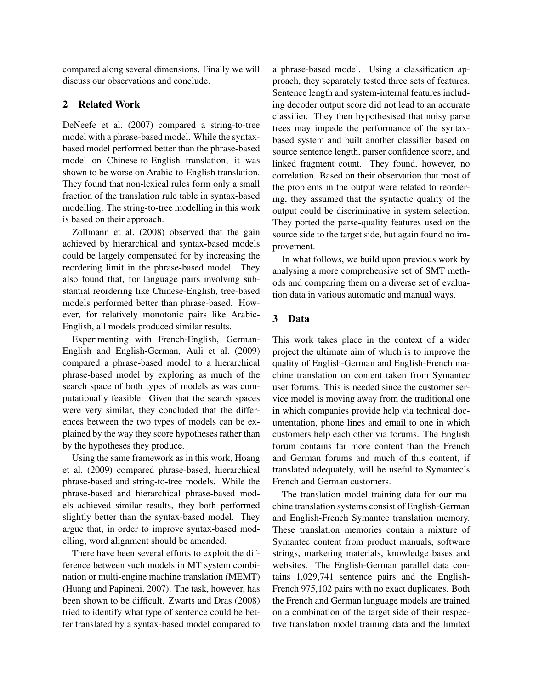compared along several dimensions. Finally we will discuss our observations and conclude.

# 2 Related Work

DeNeefe et al. (2007) compared a string-to-tree model with a phrase-based model. While the syntaxbased model performed better than the phrase-based model on Chinese-to-English translation, it was shown to be worse on Arabic-to-English translation. They found that non-lexical rules form only a small fraction of the translation rule table in syntax-based modelling. The string-to-tree modelling in this work is based on their approach.

Zollmann et al. (2008) observed that the gain achieved by hierarchical and syntax-based models could be largely compensated for by increasing the reordering limit in the phrase-based model. They also found that, for language pairs involving substantial reordering like Chinese-English, tree-based models performed better than phrase-based. However, for relatively monotonic pairs like Arabic-English, all models produced similar results.

Experimenting with French-English, German-English and English-German, Auli et al. (2009) compared a phrase-based model to a hierarchical phrase-based model by exploring as much of the search space of both types of models as was computationally feasible. Given that the search spaces were very similar, they concluded that the differences between the two types of models can be explained by the way they score hypotheses rather than by the hypotheses they produce.

Using the same framework as in this work, Hoang et al. (2009) compared phrase-based, hierarchical phrase-based and string-to-tree models. While the phrase-based and hierarchical phrase-based models achieved similar results, they both performed slightly better than the syntax-based model. They argue that, in order to improve syntax-based modelling, word alignment should be amended.

There have been several efforts to exploit the difference between such models in MT system combination or multi-engine machine translation (MEMT) (Huang and Papineni, 2007). The task, however, has been shown to be difficult. Zwarts and Dras (2008) tried to identify what type of sentence could be better translated by a syntax-based model compared to a phrase-based model. Using a classification approach, they separately tested three sets of features. Sentence length and system-internal features including decoder output score did not lead to an accurate classifier. They then hypothesised that noisy parse trees may impede the performance of the syntaxbased system and built another classifier based on source sentence length, parser confidence score, and linked fragment count. They found, however, no correlation. Based on their observation that most of the problems in the output were related to reordering, they assumed that the syntactic quality of the output could be discriminative in system selection. They ported the parse-quality features used on the source side to the target side, but again found no improvement.

In what follows, we build upon previous work by analysing a more comprehensive set of SMT methods and comparing them on a diverse set of evaluation data in various automatic and manual ways.

### 3 Data

This work takes place in the context of a wider project the ultimate aim of which is to improve the quality of English-German and English-French machine translation on content taken from Symantec user forums. This is needed since the customer service model is moving away from the traditional one in which companies provide help via technical documentation, phone lines and email to one in which customers help each other via forums. The English forum contains far more content than the French and German forums and much of this content, if translated adequately, will be useful to Symantec's French and German customers.

The translation model training data for our machine translation systems consist of English-German and English-French Symantec translation memory. These translation memories contain a mixture of Symantec content from product manuals, software strings, marketing materials, knowledge bases and websites. The English-German parallel data contains 1,029,741 sentence pairs and the English-French 975,102 pairs with no exact duplicates. Both the French and German language models are trained on a combination of the target side of their respective translation model training data and the limited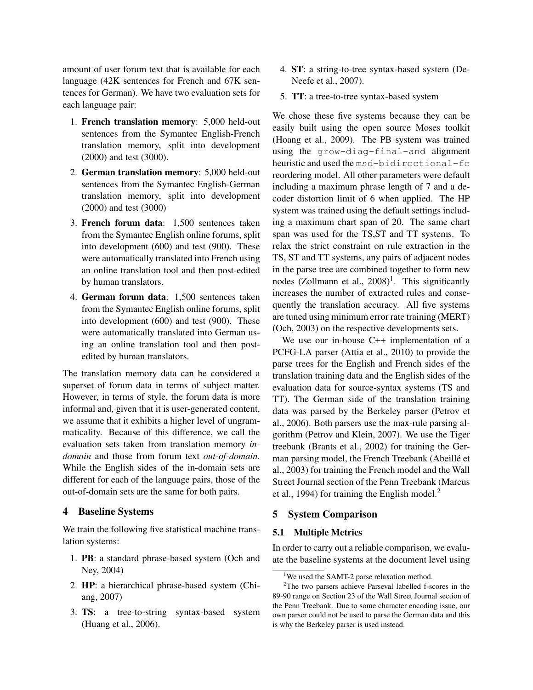amount of user forum text that is available for each language (42K sentences for French and 67K sentences for German). We have two evaluation sets for each language pair:

- 1. French translation memory: 5,000 held-out sentences from the Symantec English-French translation memory, split into development (2000) and test (3000).
- 2. German translation memory: 5,000 held-out sentences from the Symantec English-German translation memory, split into development (2000) and test (3000)
- 3. French forum data: 1,500 sentences taken from the Symantec English online forums, split into development (600) and test (900). These were automatically translated into French using an online translation tool and then post-edited by human translators.
- 4. German forum data: 1,500 sentences taken from the Symantec English online forums, split into development (600) and test (900). These were automatically translated into German using an online translation tool and then postedited by human translators.

The translation memory data can be considered a superset of forum data in terms of subject matter. However, in terms of style, the forum data is more informal and, given that it is user-generated content, we assume that it exhibits a higher level of ungrammaticality. Because of this difference, we call the evaluation sets taken from translation memory *indomain* and those from forum text *out-of-domain*. While the English sides of the in-domain sets are different for each of the language pairs, those of the out-of-domain sets are the same for both pairs.

#### 4 Baseline Systems

We train the following five statistical machine translation systems:

- 1. PB: a standard phrase-based system (Och and Ney, 2004)
- 2. HP: a hierarchical phrase-based system (Chiang, 2007)
- 3. TS: a tree-to-string syntax-based system (Huang et al., 2006).
- 4. ST: a string-to-tree syntax-based system (De-Neefe et al., 2007).
- 5. TT: a tree-to-tree syntax-based system

We chose these five systems because they can be easily built using the open source Moses toolkit (Hoang et al., 2009). The PB system was trained using the grow-diag-final-and alignment heuristic and used the msd-bidirectional-fe reordering model. All other parameters were default including a maximum phrase length of 7 and a decoder distortion limit of 6 when applied. The HP system was trained using the default settings including a maximum chart span of 20. The same chart span was used for the TS,ST and TT systems. To relax the strict constraint on rule extraction in the TS, ST and TT systems, any pairs of adjacent nodes in the parse tree are combined together to form new nodes (Zollmann et al.,  $2008$ <sup>1</sup>. This significantly increases the number of extracted rules and consequently the translation accuracy. All five systems are tuned using minimum error rate training (MERT) (Och, 2003) on the respective developments sets.

We use our in-house C++ implementation of a PCFG-LA parser (Attia et al., 2010) to provide the parse trees for the English and French sides of the translation training data and the English sides of the evaluation data for source-syntax systems (TS and TT). The German side of the translation training data was parsed by the Berkeley parser (Petrov et al., 2006). Both parsers use the max-rule parsing algorithm (Petrov and Klein, 2007). We use the Tiger treebank (Brants et al., 2002) for training the German parsing model, the French Treebank (Abeillé et al., 2003) for training the French model and the Wall Street Journal section of the Penn Treebank (Marcus et al., 1994) for training the English model. $<sup>2</sup>$ </sup>

#### 5 System Comparison

#### 5.1 Multiple Metrics

In order to carry out a reliable comparison, we evaluate the baseline systems at the document level using

<sup>&</sup>lt;sup>1</sup>We used the SAMT-2 parse relaxation method.

<sup>2</sup>The two parsers achieve Parseval labelled f-scores in the 89-90 range on Section 23 of the Wall Street Journal section of the Penn Treebank. Due to some character encoding issue, our own parser could not be used to parse the German data and this is why the Berkeley parser is used instead.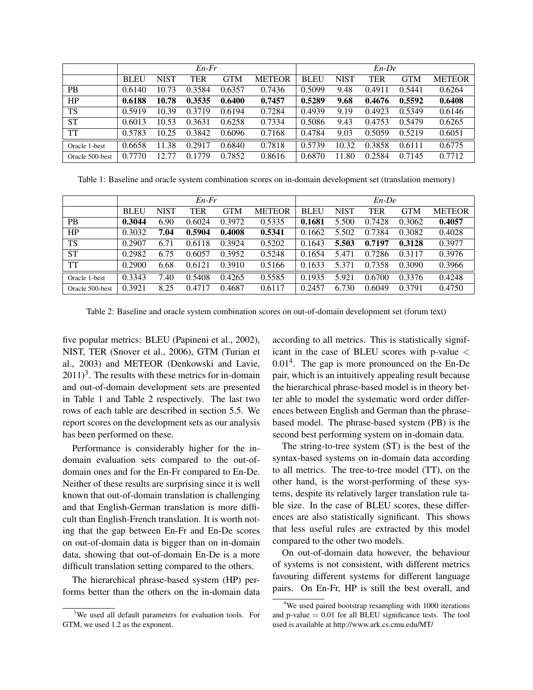|                 | $En$ - $Fr$ |             |        |            |               | $En$ -De    |             |            |            |               |  |
|-----------------|-------------|-------------|--------|------------|---------------|-------------|-------------|------------|------------|---------------|--|
|                 | <b>BLEU</b> | <b>NIST</b> | TER    | <b>GTM</b> | <b>METEOR</b> | <b>BLEU</b> | <b>NIST</b> | <b>TER</b> | <b>GTM</b> | <b>METEOR</b> |  |
| <b>PB</b>       | 0.6140      | 10.73       | 0.3584 | 0.6357     | 0.7436        | 0.5099      | 9.48        | 0.4911     | 0.5441     | 0.6264        |  |
| HP              | 0.6188      | 10.78       | 0.3535 | 0.6400     | 0.7457        | 0.5289      | 9.68        | 0.4676     | 0.5592     | 0.6408        |  |
| <b>TS</b>       | 0.5919      | 10.39       | 0.3719 | 0.6194     | 0.7284        | 0.4939      | 9.19        | 0.4923     | 0.5349     | 0.6146        |  |
| <b>ST</b>       | 0.6013      | 10.53       | 0.3631 | 0.6258     | 0.7334        | 0.5086      | 9.43        | 0.4753     | 0.5479     | 0.6265        |  |
| <b>TT</b>       | 0.5783      | 10.25       | 0.3842 | 0.6096     | 0.7168        | 0.4784      | 9.03        | 0.5059     | 0.5219     | 0.6051        |  |
| Oracle 1-best   | 0.6658      | 11.38       | 0.2917 | 0.6840     | 0.7818        | 0.5739      | 10.32       | 0.3858     | 0.6111     | 0.6775        |  |
| Oracle 500-best | 0.7770      | 12.77       | 0.1779 | 0.7852     | 0.8616        | 0.6870      | 11.80       | 0.2584     | 0.7145     | 0.7712        |  |

Table 1: Baseline and oracle system combination scores on in-domain development set (translation memory)

|                 | $En$ - $Fr$ |             |            |            |               |             | $En$ -De    |        |        |               |  |  |
|-----------------|-------------|-------------|------------|------------|---------------|-------------|-------------|--------|--------|---------------|--|--|
|                 | <b>BLEU</b> | <b>NIST</b> | <b>TER</b> | <b>GTM</b> | <b>METEOR</b> | <b>BLEU</b> | <b>NIST</b> | TER    | GTM    | <b>METEOR</b> |  |  |
| <b>PB</b>       | 0.3044      | 6.90        | 0.6024     | 0.3972     | 0.5335        | 0.1681      | 5.500       | 0.7428 | 0.3062 | 0.4057        |  |  |
| HP              | 0.3032      | 7.04        | 0.5904     | 0.4008     | 0.5341        | 0.1662      | 5.502       | 0.7384 | 0.3082 | 0.4028        |  |  |
| <b>TS</b>       | 0.2907      | 6.71        | 0.6118     | 0.3924     | 0.5202        | 0.1643      | 5.503       | 0.7197 | 0.3128 | 0.3977        |  |  |
| ST              | 0.2982      | 6.75        | 0.6057     | 0.3952     | 0.5248        | 0.1654      | 5.471       | 0.7286 | 0.3117 | 0.3976        |  |  |
| TT              | 0.2900      | 6.68        | 0.6121     | 0.3910     | 0.5166        | 0.1633      | 5.371       | 0.7358 | 0.3090 | 0.3966        |  |  |
| Oracle 1-best   | 0.3343      | 7.40        | 0.5408     | 0.4265     | 0.5585        | 0.1935      | 5.921       | 0.6700 | 0.3376 | 0.4248        |  |  |
| Oracle 500-best | 0.3921      | 8.25        | 0.4717     | 0.4687     | 0.6117        | 0.2457      | 6.730       | 0.6049 | 0.3791 | 0.4750        |  |  |

Table 2: Baseline and oracle system combination scores on out-of-domain development set (forum text)

five popular metrics: BLEU (Papineni et al., 2002), NIST, TER (Snover et al., 2006), GTM (Turian et al., 2003) and METEOR (Denkowski and Lavie,  $2011$ <sup>3</sup>. The results with these metrics for in-domain and out-of-domain development sets are presented in Table 1 and Table 2 respectively. The last two rows of each table are described in section 5.5. We report scores on the development sets as our analysis has been performed on these.

Performance is considerably higher for the indomain evaluation sets compared to the out-ofdomain ones and for the En-Fr compared to En-De. Neither of these results are surprising since it is well known that out-of-domain translation is challenging and that English-German translation is more difficult than English-French translation. It is worth noting that the gap between En-Fr and En-De scores on out-of-domain data is bigger than on in-domain data, showing that out-of-domain En-De is a more difficult translation setting compared to the others.

The hierarchical phrase-based system (HP) performs better than the others on the in-domain data according to all metrics. This is statistically significant in the case of BLEU scores with p-value < 0.01<sup>4</sup>. The gap is more pronounced on the En-De pair, which is an intuitively appealing result because the hierarchical phrase-based model is in theory better able to model the systematic word order differences between English and German than the phrasebased model. The phrase-based system (PB) is the second best performing system on in-domain data.

The string-to-tree system (ST) is the best of the syntax-based systems on in-domain data according to all metrics. The tree-to-tree model (TT), on the other hand, is the worst-performing of these systems, despite its relatively larger translation rule table size. In the case of BLEU scores, these differences are also statistically significant. This shows that less useful rules are extracted by this model compared to the other two models.

On out-of-domain data however, the behaviour of systems is not consistent, with different metrics favouring different systems for different language pairs. On En-Fr, HP is still the best overall, and

<sup>&</sup>lt;sup>3</sup>We used all default parameters for evaluation tools. For GTM, we used 1.2 as the exponent.

<sup>&</sup>lt;sup>4</sup>We used paired bootstrap resampling with 1000 iterations and p-value  $= 0.01$  for all BLEU significance tests. The tool used is available at http://www.ark.cs.cmu.edu/MT/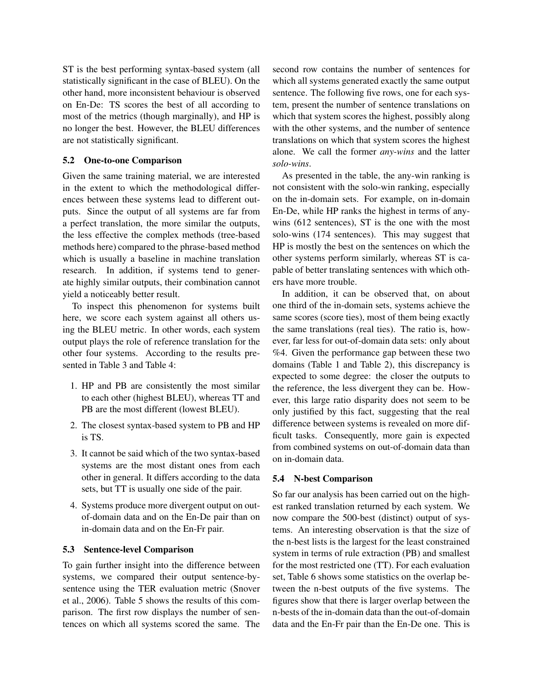ST is the best performing syntax-based system (all statistically significant in the case of BLEU). On the other hand, more inconsistent behaviour is observed on En-De: TS scores the best of all according to most of the metrics (though marginally), and HP is no longer the best. However, the BLEU differences are not statistically significant.

## 5.2 One-to-one Comparison

Given the same training material, we are interested in the extent to which the methodological differences between these systems lead to different outputs. Since the output of all systems are far from a perfect translation, the more similar the outputs, the less effective the complex methods (tree-based methods here) compared to the phrase-based method which is usually a baseline in machine translation research. In addition, if systems tend to generate highly similar outputs, their combination cannot yield a noticeably better result.

To inspect this phenomenon for systems built here, we score each system against all others using the BLEU metric. In other words, each system output plays the role of reference translation for the other four systems. According to the results presented in Table 3 and Table 4:

- 1. HP and PB are consistently the most similar to each other (highest BLEU), whereas TT and PB are the most different (lowest BLEU).
- 2. The closest syntax-based system to PB and HP is TS.
- 3. It cannot be said which of the two syntax-based systems are the most distant ones from each other in general. It differs according to the data sets, but TT is usually one side of the pair.
- 4. Systems produce more divergent output on outof-domain data and on the En-De pair than on in-domain data and on the En-Fr pair.

## 5.3 Sentence-level Comparison

To gain further insight into the difference between systems, we compared their output sentence-bysentence using the TER evaluation metric (Snover et al., 2006). Table 5 shows the results of this comparison. The first row displays the number of sentences on which all systems scored the same. The

second row contains the number of sentences for which all systems generated exactly the same output sentence. The following five rows, one for each system, present the number of sentence translations on which that system scores the highest, possibly along with the other systems, and the number of sentence translations on which that system scores the highest alone. We call the former *any-wins* and the latter *solo-wins*.

As presented in the table, the any-win ranking is not consistent with the solo-win ranking, especially on the in-domain sets. For example, on in-domain En-De, while HP ranks the highest in terms of anywins (612 sentences), ST is the one with the most solo-wins (174 sentences). This may suggest that HP is mostly the best on the sentences on which the other systems perform similarly, whereas ST is capable of better translating sentences with which others have more trouble.

In addition, it can be observed that, on about one third of the in-domain sets, systems achieve the same scores (score ties), most of them being exactly the same translations (real ties). The ratio is, however, far less for out-of-domain data sets: only about %4. Given the performance gap between these two domains (Table 1 and Table 2), this discrepancy is expected to some degree: the closer the outputs to the reference, the less divergent they can be. However, this large ratio disparity does not seem to be only justified by this fact, suggesting that the real difference between systems is revealed on more difficult tasks. Consequently, more gain is expected from combined systems on out-of-domain data than on in-domain data.

## 5.4 N-best Comparison

So far our analysis has been carried out on the highest ranked translation returned by each system. We now compare the 500-best (distinct) output of systems. An interesting observation is that the size of the n-best lists is the largest for the least constrained system in terms of rule extraction (PB) and smallest for the most restricted one (TT). For each evaluation set, Table 6 shows some statistics on the overlap between the n-best outputs of the five systems. The figures show that there is larger overlap between the n-bests of the in-domain data than the out-of-domain data and the En-Fr pair than the En-De one. This is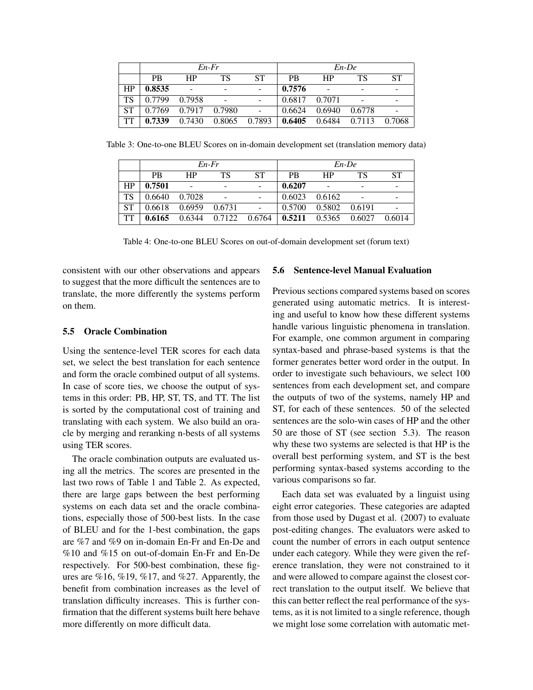|           |           |        | $En$ - $Fr$              |           |           |        | $En$ -De |        |
|-----------|-----------|--------|--------------------------|-----------|-----------|--------|----------|--------|
|           | <b>PB</b> | HP     | TS                       | <b>ST</b> | <b>PB</b> | HP     | TS       | ST     |
| HP        | 0.8535    |        | $\overline{\phantom{0}}$ |           | 0.7576    |        |          |        |
| <b>TS</b> | 0.7799    | 0.7958 | $\sim$                   |           | 0.6817    | 0.7071 |          |        |
| <b>ST</b> | 0.7769    | 0.7917 | 0.7980                   |           | 0.6624    | 0.6940 | 0.6778   |        |
| <b>TT</b> | 0.7339    | 0.7430 | 0.8065                   | 0.7893    | 0.6405    | 0.6484 | 0.7113   | 0.7068 |

Table 3: One-to-one BLEU Scores on in-domain development set (translation memory data)

|           |               |           | $En$ - $Fr$          |              |              |               | $En$ -De |           |
|-----------|---------------|-----------|----------------------|--------------|--------------|---------------|----------|-----------|
|           | <b>PB</b>     | <b>HP</b> | TS                   | SТ           | <b>PB</b>    | HP            | TS       | <b>ST</b> |
| HP        | 0.7501        |           | $\qquad \qquad$      |              | 0.6207       |               |          |           |
| <b>TS</b> | 0.6640        | 0.7028    | $\overline{a}$       |              | 0.6023       | 0.6162        |          |           |
| <b>ST</b> | 0.6618 0.6959 |           | 0.6731               | $\mathbf{r}$ | 0.5700       | 0.5802 0.6191 |          |           |
| <b>TT</b> | 0.6165        |           | 0.6344 0.7122 0.6764 |              | $\pm 0.5211$ | 0.5365 0.6027 |          | 0.6014    |

Table 4: One-to-one BLEU Scores on out-of-domain development set (forum text)

consistent with our other observations and appears to suggest that the more difficult the sentences are to translate, the more differently the systems perform on them.

## 5.5 Oracle Combination

Using the sentence-level TER scores for each data set, we select the best translation for each sentence and form the oracle combined output of all systems. In case of score ties, we choose the output of systems in this order: PB, HP, ST, TS, and TT. The list is sorted by the computational cost of training and translating with each system. We also build an oracle by merging and reranking n-bests of all systems using TER scores.

The oracle combination outputs are evaluated using all the metrics. The scores are presented in the last two rows of Table 1 and Table 2. As expected, there are large gaps between the best performing systems on each data set and the oracle combinations, especially those of 500-best lists. In the case of BLEU and for the 1-best combination, the gaps are %7 and %9 on in-domain En-Fr and En-De and %10 and %15 on out-of-domain En-Fr and En-De respectively. For 500-best combination, these figures are  $\%16, \%19, \%17$ , and  $\%27$ . Apparently, the benefit from combination increases as the level of translation difficulty increases. This is further confirmation that the different systems built here behave more differently on more difficult data.

#### 5.6 Sentence-level Manual Evaluation

Previous sections compared systems based on scores generated using automatic metrics. It is interesting and useful to know how these different systems handle various linguistic phenomena in translation. For example, one common argument in comparing syntax-based and phrase-based systems is that the former generates better word order in the output. In order to investigate such behaviours, we select 100 sentences from each development set, and compare the outputs of two of the systems, namely HP and ST, for each of these sentences. 50 of the selected sentences are the solo-win cases of HP and the other 50 are those of ST (see section 5.3). The reason why these two systems are selected is that HP is the overall best performing system, and ST is the best performing syntax-based systems according to the various comparisons so far.

Each data set was evaluated by a linguist using eight error categories. These categories are adapted from those used by Dugast et al. (2007) to evaluate post-editing changes. The evaluators were asked to count the number of errors in each output sentence under each category. While they were given the reference translation, they were not constrained to it and were allowed to compare against the closest correct translation to the output itself. We believe that this can better reflect the real performance of the systems, as it is not limited to a single reference, though we might lose some correlation with automatic met-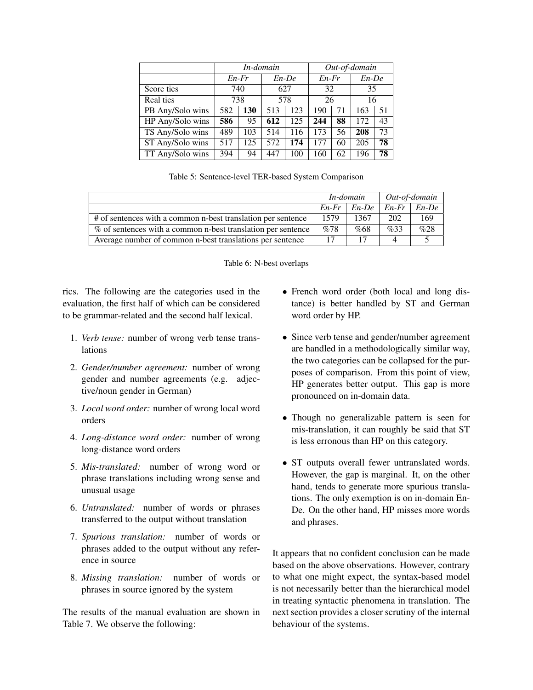|                  | In-domain |             |          |     | Out-of-domain |    |          |    |
|------------------|-----------|-------------|----------|-----|---------------|----|----------|----|
|                  |           | $En$ - $Fr$ | $En$ -De |     | $En$ - $Fr$   |    | $En$ -De |    |
| Score ties       |           | 740         | 627      |     | 32            |    | 35       |    |
| Real ties        | 738       |             | 578      |     | 26            |    | 16       |    |
| PB Any/Solo wins | 582       | 130         | 513      | 123 | 190           | 71 | 163      | 51 |
| HP Any/Solo wins | 586       | 95          | 612      | 125 | 244           | 88 | 172      | 43 |
| TS Any/Solo wins | 489       | 103         | 514      | 116 | 173           | 56 | 208      | 73 |
| ST Any/Solo wins | 517       | 125         | 572      | 174 | 177           | 60 | 205      | 78 |
| TT Any/Solo wins | 394       | 94          |          | 100 | 160           | 62 | 196      | 78 |

|  |  |  |  |  | Table 5: Sentence-level TER-based System Comparison |
|--|--|--|--|--|-----------------------------------------------------|
|--|--|--|--|--|-----------------------------------------------------|

|                                                              |             | In-domain      | Out-of-domain |          |
|--------------------------------------------------------------|-------------|----------------|---------------|----------|
|                                                              | $En$ - $Fr$ | $En\text{-}De$ | $En-Fr$       | $En$ -De |
| # of sentences with a common n-best translation per sentence | 1579        | 1367           | 202           | 169      |
| % of sentences with a common n-best translation per sentence | %78         | %68            | %33           | %28      |
| Average number of common n-best translations per sentence    | 17          |                |               |          |



rics. The following are the categories used in the evaluation, the first half of which can be considered to be grammar-related and the second half lexical.

- 1. *Verb tense:* number of wrong verb tense translations
- 2. *Gender/number agreement:* number of wrong gender and number agreements (e.g. adjective/noun gender in German)
- 3. *Local word order:* number of wrong local word orders
- 4. *Long-distance word order:* number of wrong long-distance word orders
- 5. *Mis-translated:* number of wrong word or phrase translations including wrong sense and unusual usage
- 6. *Untranslated:* number of words or phrases transferred to the output without translation
- 7. *Spurious translation:* number of words or phrases added to the output without any reference in source
- 8. *Missing translation:* number of words or phrases in source ignored by the system

The results of the manual evaluation are shown in Table 7. We observe the following:

- French word order (both local and long distance) is better handled by ST and German word order by HP.
- Since verb tense and gender/number agreement are handled in a methodologically similar way, the two categories can be collapsed for the purposes of comparison. From this point of view, HP generates better output. This gap is more pronounced on in-domain data.
- Though no generalizable pattern is seen for mis-translation, it can roughly be said that ST is less erronous than HP on this category.
- ST outputs overall fewer untranslated words. However, the gap is marginal. It, on the other hand, tends to generate more spurious translations. The only exemption is on in-domain En-De. On the other hand, HP misses more words and phrases.

It appears that no confident conclusion can be made based on the above observations. However, contrary to what one might expect, the syntax-based model is not necessarily better than the hierarchical model in treating syntactic phenomena in translation. The next section provides a closer scrutiny of the internal behaviour of the systems.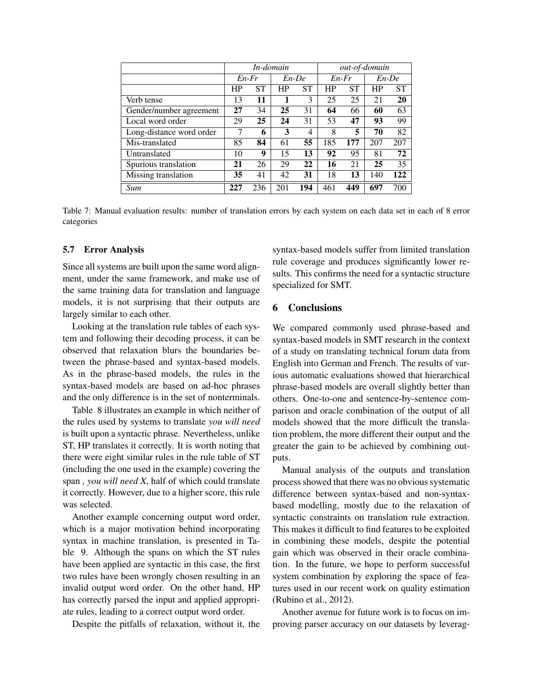|                          | In-domain   |          |     |           | out-of-domain |           |     |           |
|--------------------------|-------------|----------|-----|-----------|---------------|-----------|-----|-----------|
|                          | $En$ - $Fr$ | $En$ -De |     |           | $En$ - $Fr$   |           |     | $En$ -De  |
|                          | HP          | SТ       | HP  | <b>ST</b> | HP            | <b>ST</b> | HP  | <b>ST</b> |
| Verb tense               | 13          | 11       | 1   | 3         | 25            | 25        | 21  | 20        |
| Gender/number agreement  | 27          | 34       | 25  | 31        | 64            | 66        | 60  | 63        |
| Local word order         | 29          | 25       | 24  | 31        | 53            | 47        | 93  | 99        |
| Long-distance word order | 7           | 6        | 3   | 4         | 8             | 5         | 70  | 82        |
| Mis-translated           | 85          | 84       | 61  | 55        | 185           | 177       | 207 | 207       |
| Untranslated             | 10          | 9        | 15  | 13        | 92            | 95        | 81  | 72        |
| Spurious translation     | 21          | 26       | 29  | 22        | 16            | 21        | 25  | 35        |
| Missing translation      | 35          | 41       | 42  | 31        | 18            | 13        | 140 | 122       |
| Sum                      | 227         | 236      | 201 | 194       | 461           | 449       | 697 | 700       |

Table 7: Manual evaluation results: number of translation errors by each system on each data set in each of 8 error categories

#### 5.7 Error Analysis

Since all systems are built upon the same word alignment, under the same framework, and make use of the same training data for translation and language models, it is not surprising that their outputs are largely similar to each other.

Looking at the translation rule tables of each system and following their decoding process, it can be observed that relaxation blurs the boundaries between the phrase-based and syntax-based models. As in the phrase-based models, the rules in the syntax-based models are based on ad-hoc phrases and the only difference is in the set of nonterminals.

Table 8 illustrates an example in which neither of the rules used by systems to translate *you will need* is built upon a syntactic phrase. Nevertheless, unlike ST, HP translates it correctly. It is worth noting that there were eight similar rules in the rule table of ST (including the one used in the example) covering the span *, you will need X*, half of which could translate it correctly. However, due to a higher score, this rule was selected.

Another example concerning output word order, which is a major motivation behind incorporating syntax in machine translation, is presented in Table 9. Although the spans on which the ST rules have been applied are syntactic in this case, the first two rules have been wrongly chosen resulting in an invalid output word order. On the other hand, HP has correctly parsed the input and applied appropriate rules, leading to a correct output word order.

Despite the pitfalls of relaxation, without it, the

syntax-based models suffer from limited translation rule coverage and produces significantly lower results. This confirms the need for a syntactic structure specialized for SMT.

# 6 Conclusions

We compared commonly used phrase-based and syntax-based models in SMT research in the context of a study on translating technical forum data from English into German and French. The results of various automatic evaluations showed that hierarchical phrase-based models are overall slightly better than others. One-to-one and sentence-by-sentence comparison and oracle combination of the output of all models showed that the more difficult the translation problem, the more different their output and the greater the gain to be achieved by combining outputs.

Manual analysis of the outputs and translation process showed that there was no obvious systematic difference between syntax-based and non-syntaxbased modelling, mostly due to the relaxation of syntactic constraints on translation rule extraction. This makes it difficult to find features to be exploited in combining these models, despite the potential gain which was observed in their oracle combination. In the future, we hope to perform successful system combination by exploring the space of features used in our recent work on quality estimation (Rubino et al., 2012).

Another avenue for future work is to focus on improving parser accuracy on our datasets by leverag-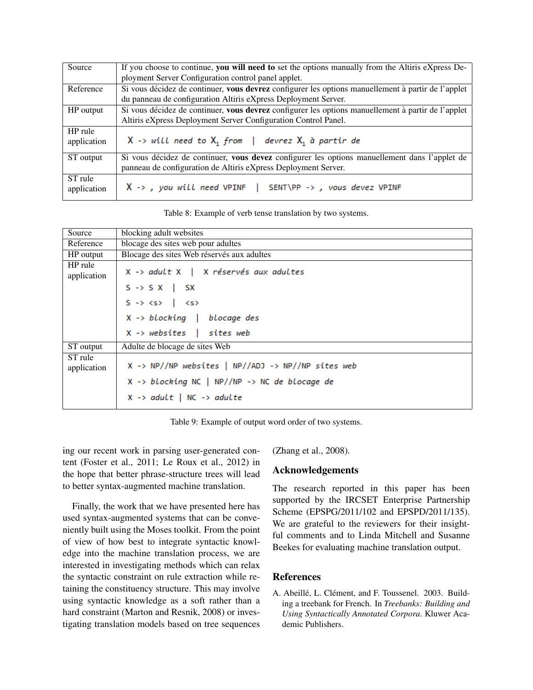| Source                 | If you choose to continue, you will need to set the options manually from the Altiris eXpress De-  |
|------------------------|----------------------------------------------------------------------------------------------------|
|                        | ployment Server Configuration control panel applet.                                                |
| Reference              | Si vous décidez de continuer, vous devrez configurer les options manuellement à partir de l'applet |
|                        | du panneau de configuration Altiris eXpress Deployment Server.                                     |
| HP output              | Si vous décidez de continuer, vous devrez configurer les options manuellement à partir de l'applet |
|                        | Altiris eXpress Deployment Server Configuration Control Panel.                                     |
| HP rule<br>application | $X \rightarrow$ will need to $X_1$ from   devrez $X_1$ à partir de                                 |
| ST output              | Si vous décidez de continuer, vous devez configurer les options manuellement dans l'applet de      |
|                        | panneau de configuration de Altiris eXpress Deployment Server.                                     |
| ST rule<br>application | X -> , you will need VPINF   SENT\PP -> , vous devez VPINF                                         |

Table 8: Example of verb tense translation by two systems.

| Source                 | blocking adult websites                                       |
|------------------------|---------------------------------------------------------------|
| Reference              | blocage des sites web pour adultes                            |
| HP output              | Blocage des sites Web réservés aux adultes                    |
| HP rule<br>application | X -> adult X   X réservés aux adultes                         |
|                        | $S \rightarrow S X$   SX                                      |
|                        | $S \rightarrow \langle S \rangle$ $\langle S \rangle$         |
|                        | $X \rightarrow blocking$   blocage des                        |
|                        | $X \rightarrow$ websites   sites web                          |
| ST output              | Adulte de blocage de sites Web                                |
| ST rule<br>application | $X \rightarrow NP//NP$ websites   NP//ADJ -> NP//NP sites web |
|                        | $X \rightarrow blocking NC$   NP//NP -> NC de blocage de      |
|                        | $X \rightarrow adult \mid NC \rightarrow adult$               |

Table 9: Example of output word order of two systems.

ing our recent work in parsing user-generated content (Foster et al., 2011; Le Roux et al., 2012) in the hope that better phrase-structure trees will lead to better syntax-augmented machine translation.

Finally, the work that we have presented here has used syntax-augmented systems that can be conveniently built using the Moses toolkit. From the point of view of how best to integrate syntactic knowledge into the machine translation process, we are interested in investigating methods which can relax the syntactic constraint on rule extraction while retaining the constituency structure. This may involve using syntactic knowledge as a soft rather than a hard constraint (Marton and Resnik, 2008) or investigating translation models based on tree sequences (Zhang et al., 2008).

# Acknowledgements

The research reported in this paper has been supported by the IRCSET Enterprise Partnership Scheme (EPSPG/2011/102 and EPSPD/2011/135). We are grateful to the reviewers for their insightful comments and to Linda Mitchell and Susanne Beekes for evaluating machine translation output.

# **References**

A. Abeillé, L. Clément, and F. Toussenel. 2003. Building a treebank for French. In *Treebanks: Building and Using Syntactically Annotated Corpora*. Kluwer Academic Publishers.